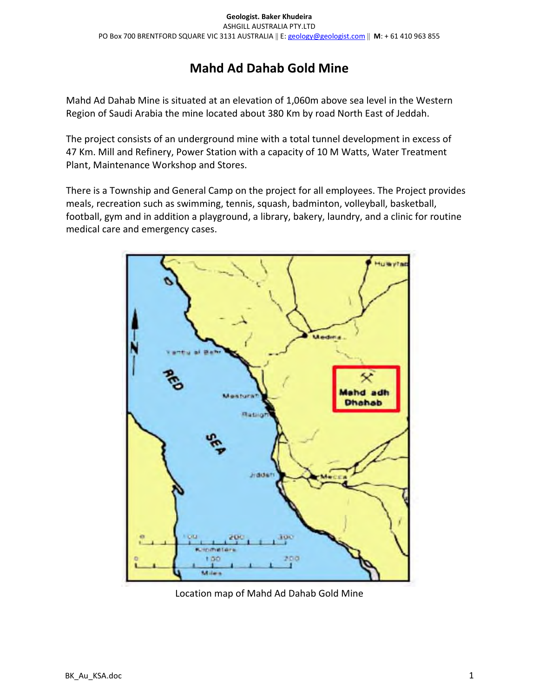# Mahd Ad Dahab Gold Mine

Mahd Ad Dahab Mine is situated at an elevation of 1,060m above sea level in the Western Region of Saudi Arabia the mine located about 380 Km by road North East of Jeddah.

The project consists of an underground mine with a total tunnel development in excess of 47 Km. Mill and Refinery, Power Station with a capacity of 10 M Watts, Water Treatment Plant, Maintenance Workshop and Stores.

There is a Township and General Camp on the project for all employees. The Project provides meals, recreation such as swimming, tennis, squash, badminton, volleyball, basketball, football, gym and in addition a playground, a library, bakery, laundry, and a clinic for routine medical care and emergency cases.



Location map of Mahd Ad Dahab Gold Mine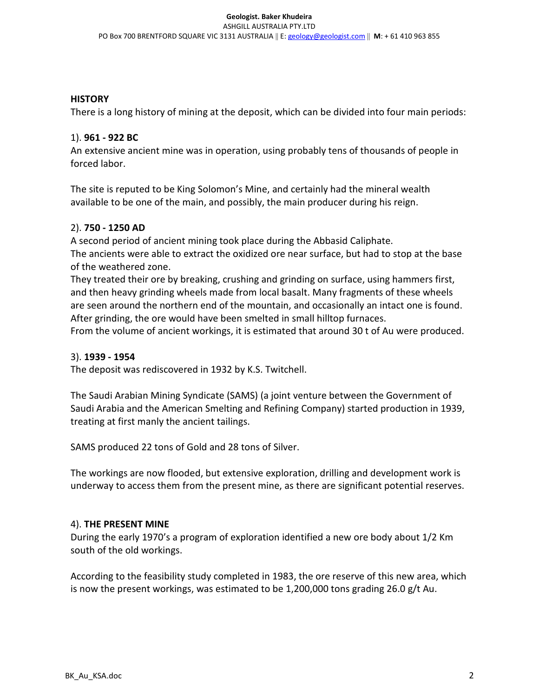## **HISTORY**

There is a long history of mining at the deposit, which can be divided into four main periods:

# 1). 961 - 922 BC

An extensive ancient mine was in operation, using probably tens of thousands of people in forced labor.

The site is reputed to be King Solomon's Mine, and certainly had the mineral wealth available to be one of the main, and possibly, the main producer during his reign.

# 2). 750 - 1250 AD

A second period of ancient mining took place during the Abbasid Caliphate. The ancients were able to extract the oxidized ore near surface, but had to stop at the base of the weathered zone.

They treated their ore by breaking, crushing and grinding on surface, using hammers first, and then heavy grinding wheels made from local basalt. Many fragments of these wheels are seen around the northern end of the mountain, and occasionally an intact one is found. After grinding, the ore would have been smelted in small hilltop furnaces.

From the volume of ancient workings, it is estimated that around 30 t of Au were produced.

# 3). 1939 - 1954

The deposit was rediscovered in 1932 by K.S. Twitchell.

The Saudi Arabian Mining Syndicate (SAMS) (a joint venture between the Government of Saudi Arabia and the American Smelting and Refining Company) started production in 1939, treating at first manly the ancient tailings.

SAMS produced 22 tons of Gold and 28 tons of Silver.

The workings are now flooded, but extensive exploration, drilling and development work is underway to access them from the present mine, as there are significant potential reserves.

# 4). THE PRESENT MINE

During the early 1970's a program of exploration identified a new ore body about 1/2 Km south of the old workings.

According to the feasibility study completed in 1983, the ore reserve of this new area, which is now the present workings, was estimated to be  $1,200,000$  tons grading 26.0 g/t Au.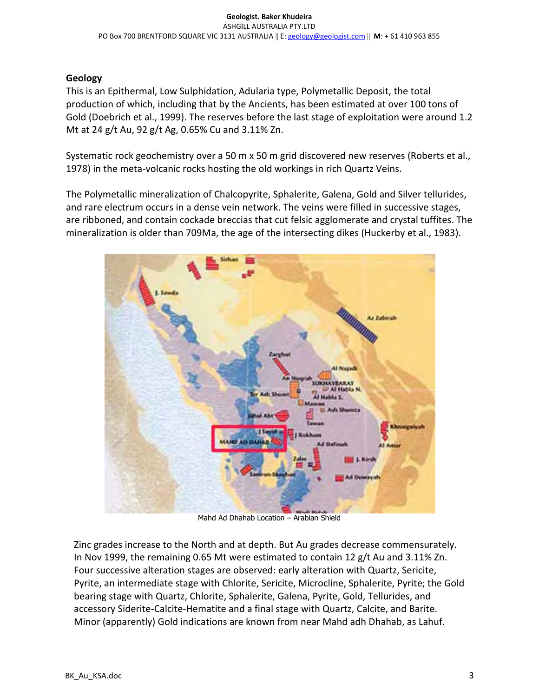# Geology

This is an Epithermal, Low Sulphidation, Adularia type, Polymetallic Deposit, the total production of which, including that by the Ancients, has been estimated at over 100 tons of Gold (Doebrich et al., 1999). The reserves before the last stage of exploitation were around 1.2 Mt at 24 g/t Au, 92 g/t Ag, 0.65% Cu and 3.11% Zn.

Systematic rock geochemistry over a 50 m x 50 m grid discovered new reserves (Roberts et al., 1978) in the meta-volcanic rocks hosting the old workings in rich Quartz Veins.

The Polymetallic mineralization of Chalcopyrite, Sphalerite, Galena, Gold and Silver tellurides, and rare electrum occurs in a dense vein network. The veins were filled in successive stages, are ribboned, and contain cockade breccias that cut felsic agglomerate and crystal tuffites. The mineralization is older than 709Ma, the age of the intersecting dikes (Huckerby et al., 1983).



Mahd Ad Dhahab Location – Arabian Shield

Zinc grades increase to the North and at depth. But Au grades decrease commensurately. In Nov 1999, the remaining 0.65 Mt were estimated to contain 12 g/t Au and 3.11% Zn. Four successive alteration stages are observed: early alteration with Quartz, Sericite, Pyrite, an intermediate stage with Chlorite, Sericite, Microcline, Sphalerite, Pyrite; the Gold bearing stage with Quartz, Chlorite, Sphalerite, Galena, Pyrite, Gold, Tellurides, and accessory Siderite-Calcite-Hematite and a final stage with Quartz, Calcite, and Barite. Minor (apparently) Gold indications are known from near Mahd adh Dhahab, as Lahuf.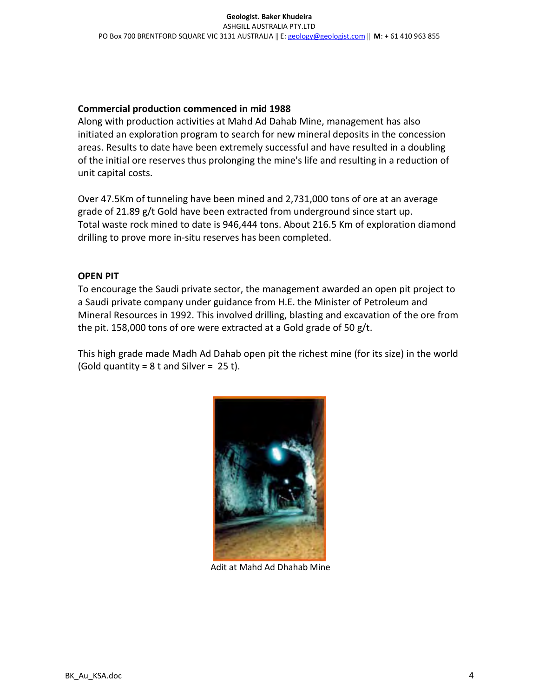## Commercial production commenced in mid 1988

Along with production activities at Mahd Ad Dahab Mine, management has also initiated an exploration program to search for new mineral deposits in the concession areas. Results to date have been extremely successful and have resulted in a doubling of the initial ore reserves thus prolonging the mine's life and resulting in a reduction of unit capital costs.

Over 47.5Km of tunneling have been mined and 2,731,000 tons of ore at an average grade of 21.89 g/t Gold have been extracted from underground since start up. Total waste rock mined to date is 946,444 tons. About 216.5 Km of exploration diamond drilling to prove more in-situ reserves has been completed.

## OPEN PIT

To encourage the Saudi private sector, the management awarded an open pit project to a Saudi private company under guidance from H.E. the Minister of Petroleum and Mineral Resources in 1992. This involved drilling, blasting and excavation of the ore from the pit. 158,000 tons of ore were extracted at a Gold grade of 50 g/t.

This high grade made Madh Ad Dahab open pit the richest mine (for its size) in the world (Gold quantity =  $8$  t and Silver =  $25$  t).



Adit at Mahd Ad Dhahab Mine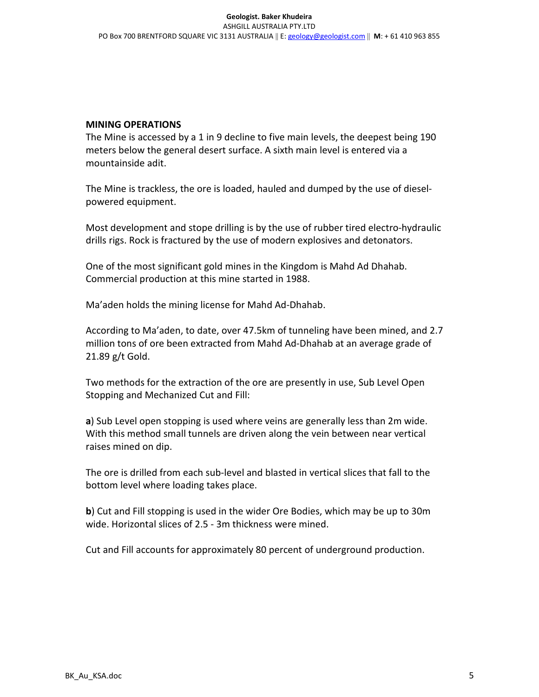#### MINING OPERATIONS

The Mine is accessed by a 1 in 9 decline to five main levels, the deepest being 190 meters below the general desert surface. A sixth main level is entered via a mountainside adit.

The Mine is trackless, the ore is loaded, hauled and dumped by the use of dieselpowered equipment.

Most development and stope drilling is by the use of rubber tired electro-hydraulic drills rigs. Rock is fractured by the use of modern explosives and detonators.

One of the most significant gold mines in the Kingdom is Mahd Ad Dhahab. Commercial production at this mine started in 1988.

Ma'aden holds the mining license for Mahd Ad-Dhahab.

According to Ma'aden, to date, over 47.5km of tunneling have been mined, and 2.7 million tons of ore been extracted from Mahd Ad-Dhahab at an average grade of 21.89 g/t Gold.

Two methods for the extraction of the ore are presently in use, Sub Level Open Stopping and Mechanized Cut and Fill:

a) Sub Level open stopping is used where veins are generally less than 2m wide. With this method small tunnels are driven along the vein between near vertical raises mined on dip.

The ore is drilled from each sub-level and blasted in vertical slices that fall to the bottom level where loading takes place.

b) Cut and Fill stopping is used in the wider Ore Bodies, which may be up to 30m wide. Horizontal slices of 2.5 - 3m thickness were mined.

Cut and Fill accounts for approximately 80 percent of underground production.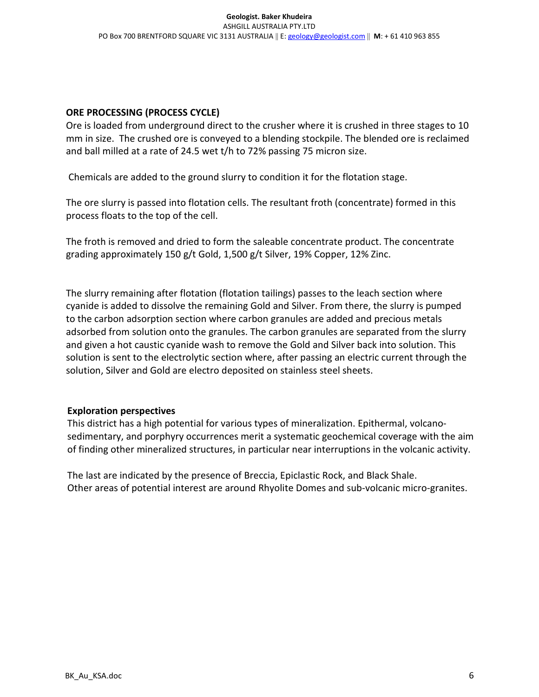#### ORE PROCESSING (PROCESS CYCLE)

Ore is loaded from underground direct to the crusher where it is crushed in three stages to 10 mm in size. The crushed ore is conveyed to a blending stockpile. The blended ore is reclaimed and ball milled at a rate of 24.5 wet t/h to 72% passing 75 micron size.

Chemicals are added to the ground slurry to condition it for the flotation stage.

The ore slurry is passed into flotation cells. The resultant froth (concentrate) formed in this process floats to the top of the cell.

The froth is removed and dried to form the saleable concentrate product. The concentrate grading approximately 150 g/t Gold, 1,500 g/t Silver, 19% Copper, 12% Zinc.

The slurry remaining after flotation (flotation tailings) passes to the leach section where cyanide is added to dissolve the remaining Gold and Silver. From there, the slurry is pumped to the carbon adsorption section where carbon granules are added and precious metals adsorbed from solution onto the granules. The carbon granules are separated from the slurry and given a hot caustic cyanide wash to remove the Gold and Silver back into solution. This solution is sent to the electrolytic section where, after passing an electric current through the solution, Silver and Gold are electro deposited on stainless steel sheets.

#### Exploration perspectives

This district has a high potential for various types of mineralization. Epithermal, volcanosedimentary, and porphyry occurrences merit a systematic geochemical coverage with the aim of finding other mineralized structures, in particular near interruptions in the volcanic activity.

The last are indicated by the presence of Breccia, Epiclastic Rock, and Black Shale. Other areas of potential interest are around Rhyolite Domes and sub-volcanic micro-granites.